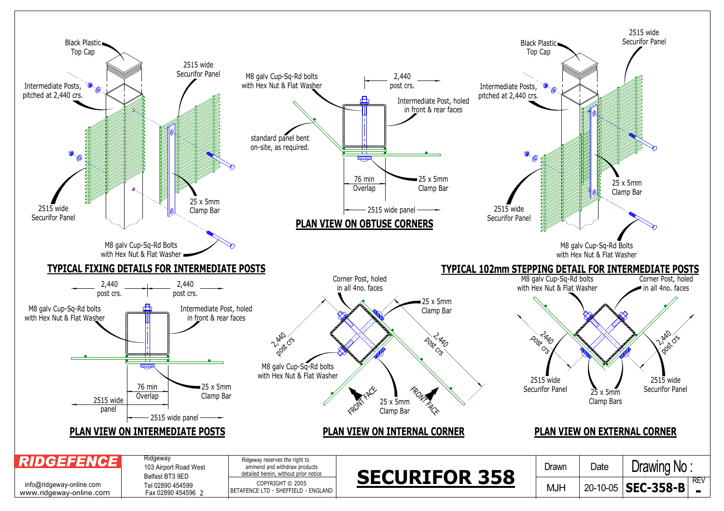